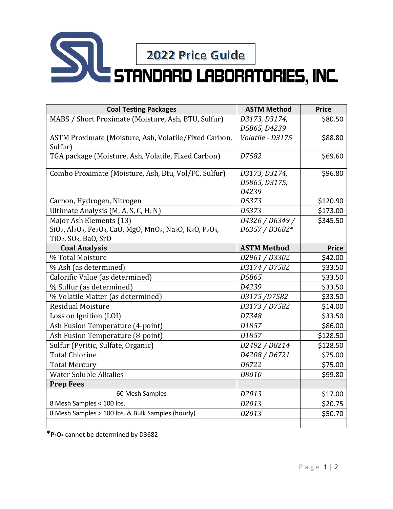

| <b>Coal Testing Packages</b>                                                                                                                                                                                                                                       | <b>ASTM Method</b>                      | <b>Price</b> |
|--------------------------------------------------------------------------------------------------------------------------------------------------------------------------------------------------------------------------------------------------------------------|-----------------------------------------|--------------|
| MABS / Short Proximate (Moisture, Ash, BTU, Sulfur)                                                                                                                                                                                                                | D3173, D3174,<br>D5865, D4239           | \$80.50      |
| ASTM Proximate (Moisture, Ash, Volatile/Fixed Carbon,<br>Sulfur)                                                                                                                                                                                                   | Volatile - D3175                        | \$88.80      |
| TGA package (Moisture, Ash, Volatile, Fixed Carbon)                                                                                                                                                                                                                | D7582                                   | \$69.60      |
| Combo Proximate (Moisture, Ash, Btu, Vol/FC, Sulfur)                                                                                                                                                                                                               | D3173, D3174,<br>D5865, D3175,<br>D4239 | \$96.80      |
| Carbon, Hydrogen, Nitrogen                                                                                                                                                                                                                                         | D5373                                   | \$120.90     |
| Ultimate Analysis (M, A, S, C, H, N)                                                                                                                                                                                                                               | D5373                                   | \$173.00     |
| Major Ash Elements (13)<br>SiO <sub>2</sub> , Al <sub>2</sub> O <sub>3</sub> , Fe <sub>2</sub> O <sub>3</sub> , CaO, MgO, MnO <sub>2</sub> , Na <sub>2</sub> O, K <sub>2</sub> O, P <sub>2</sub> O <sub>5</sub> ,<br>TiO <sub>2</sub> , SO <sub>3</sub> , BaO, SrO | D4326 / D6349 /<br>D6357 / D3682*       | \$345.50     |
| <b>Coal Analysis</b>                                                                                                                                                                                                                                               | <b>ASTM Method</b>                      | <b>Price</b> |
| % Total Moisture                                                                                                                                                                                                                                                   | D2961 / D3302                           | \$42.00      |
| % Ash (as determined)                                                                                                                                                                                                                                              | D3174 / D7582                           | \$33.50      |
| Calorific Value (as determined)                                                                                                                                                                                                                                    | D5865                                   | \$33.50      |
| % Sulfur (as determined)                                                                                                                                                                                                                                           | D4239                                   | \$33.50      |
| % Volatile Matter (as determined)                                                                                                                                                                                                                                  | D3175/D7582                             | \$33.50      |
| <b>Residual Moisture</b>                                                                                                                                                                                                                                           | D3173 / D7582                           | \$14.00      |
| Loss on Ignition (LOI)                                                                                                                                                                                                                                             | D7348                                   | \$33.50      |
| Ash Fusion Temperature (4-point)                                                                                                                                                                                                                                   | D1857                                   | \$86.00      |
| Ash Fusion Temperature (8-point)                                                                                                                                                                                                                                   | D1857                                   | \$128.50     |
| Sulfur (Pyritic, Sulfate, Organic)                                                                                                                                                                                                                                 | D2492 / D8214                           | \$128.50     |
| <b>Total Chlorine</b>                                                                                                                                                                                                                                              | D4208 / D6721                           | \$75.00      |
| <b>Total Mercury</b>                                                                                                                                                                                                                                               | D6722                                   | \$75.00      |
| <b>Water Soluble Alkalies</b>                                                                                                                                                                                                                                      | D8010                                   | \$99.80      |
| <b>Prep Fees</b>                                                                                                                                                                                                                                                   |                                         |              |
| 60 Mesh Samples                                                                                                                                                                                                                                                    | D2013                                   | \$17.00      |
| 8 Mesh Samples < 100 lbs.                                                                                                                                                                                                                                          | D2013                                   | \$20.75      |
| 8 Mesh Samples > 100 lbs. & Bulk Samples (hourly)                                                                                                                                                                                                                  | D2013                                   | \$50.70      |

 $\overline{\text{P}_2O_5}$  cannot be determined by D3682